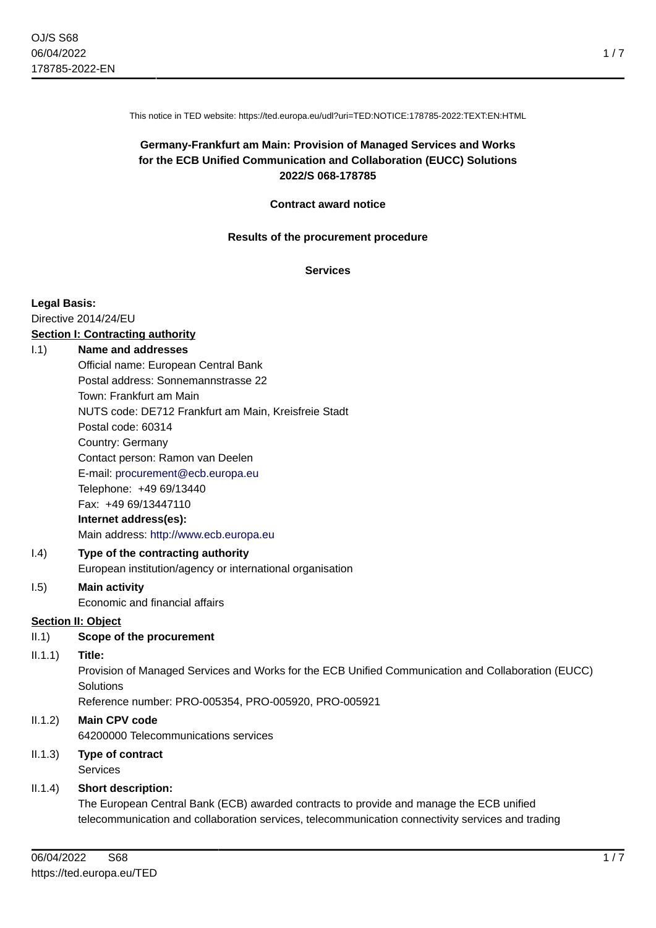This notice in TED website: https://ted.europa.eu/udl?uri=TED:NOTICE:178785-2022:TEXT:EN:HTML

# **Germany-Frankfurt am Main: Provision of Managed Services and Works for the ECB Unified Communication and Collaboration (EUCC) Solutions 2022/S 068-178785**

#### **Contract award notice**

#### **Results of the procurement procedure**

**Services**

#### **Legal Basis:**

Directive 2014/24/EU

# **Section I: Contracting authority**

# I.1) **Name and addresses**

Official name: European Central Bank Postal address: Sonnemannstrasse 22 Town: Frankfurt am Main NUTS code: DE712 Frankfurt am Main, Kreisfreie Stadt Postal code: 60314 Country: Germany Contact person: Ramon van Deelen E-mail: [procurement@ecb.europa.eu](mailto:procurement@ecb.europa.eu) Telephone: +49 69/13440 Fax: +49 69/13447110 **Internet address(es):** Main address:<http://www.ecb.europa.eu>

### I.4) **Type of the contracting authority** European institution/agency or international organisation

#### I.5) **Main activity** Economic and financial affairs

### **Section II: Object**

II.1) **Scope of the procurement**

### II.1.1) **Title:**

Provision of Managed Services and Works for the ECB Unified Communication and Collaboration (EUCC) **Solutions** 

Reference number: PRO-005354, PRO-005920, PRO-005921

### II.1.2) **Main CPV code**

64200000 Telecommunications services

### II.1.3) **Type of contract Services**

### II.1.4) **Short description:**

The European Central Bank (ECB) awarded contracts to provide and manage the ECB unified telecommunication and collaboration services, telecommunication connectivity services and trading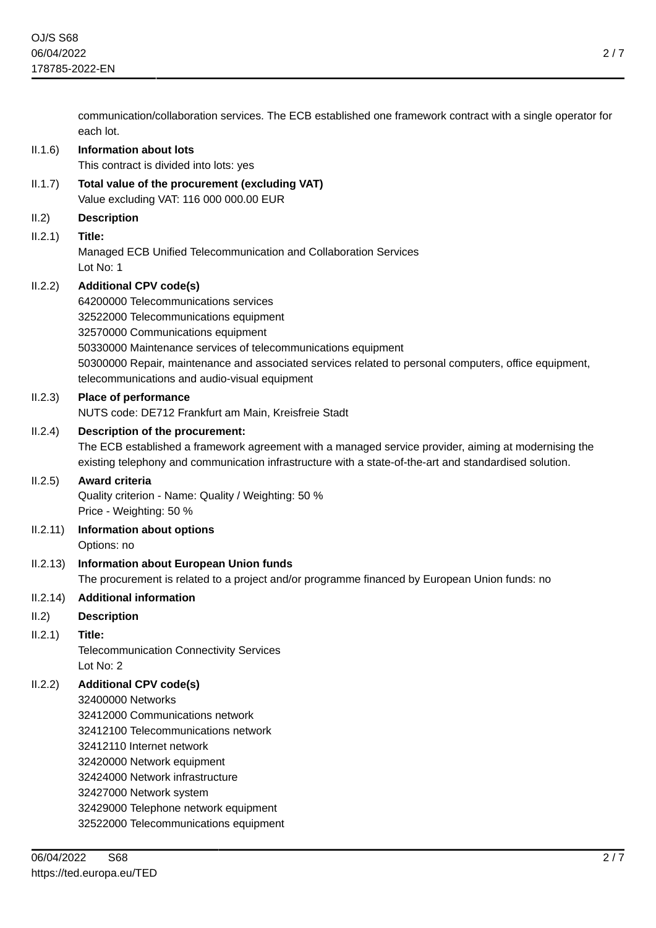communication/collaboration services. The ECB established one framework contract with a single operator for each lot. II.1.6) **Information about lots** This contract is divided into lots: yes II.1.7) **Total value of the procurement (excluding VAT)** Value excluding VAT: 116 000 000.00 EUR II.2) **Description** II.2.1) **Title:** Managed ECB Unified Telecommunication and Collaboration Services Lot No: 1 II.2.2) **Additional CPV code(s)** 64200000 Telecommunications services 32522000 Telecommunications equipment 32570000 Communications equipment 50330000 Maintenance services of telecommunications equipment 50300000 Repair, maintenance and associated services related to personal computers, office equipment, telecommunications and audio-visual equipment II.2.3) **Place of performance** NUTS code: DE712 Frankfurt am Main, Kreisfreie Stadt II.2.4) **Description of the procurement:** The ECB established a framework agreement with a managed service provider, aiming at modernising the existing telephony and communication infrastructure with a state-of-the-art and standardised solution. II.2.5) **Award criteria** Quality criterion - Name: Quality / Weighting: 50 % Price - Weighting: 50 % II.2.11) **Information about options** Options: no II.2.13) **Information about European Union funds** The procurement is related to a project and/or programme financed by European Union funds: no II.2.14) **Additional information** II.2) **Description** II.2.1) **Title:** Telecommunication Connectivity Services Lot No: 2 II.2.2) **Additional CPV code(s)** 32400000 Networks 32412000 Communications network 32412100 Telecommunications network 32412110 Internet network 32420000 Network equipment 32424000 Network infrastructure 32427000 Network system 32429000 Telephone network equipment 32522000 Telecommunications equipment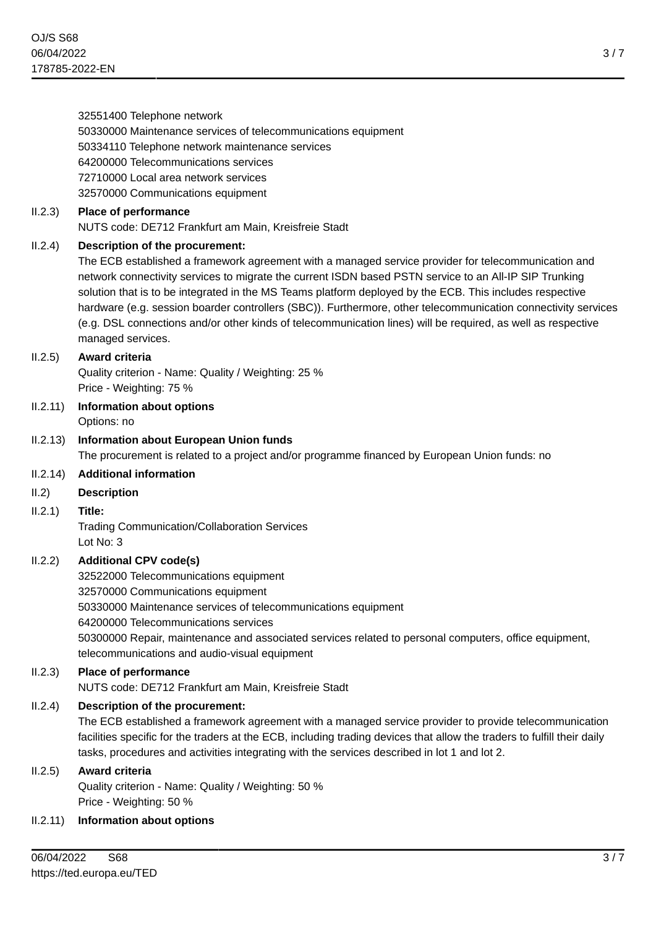32551400 Telephone network 50330000 Maintenance services of telecommunications equipment 50334110 Telephone network maintenance services 64200000 Telecommunications services 72710000 Local area network services 32570000 Communications equipment II.2.3) **Place of performance** NUTS code: DE712 Frankfurt am Main, Kreisfreie Stadt II.2.4) **Description of the procurement:** The ECB established a framework agreement with a managed service provider for telecommunication and network connectivity services to migrate the current ISDN based PSTN service to an All-IP SIP Trunking solution that is to be integrated in the MS Teams platform deployed by the ECB. This includes respective hardware (e.g. session boarder controllers (SBC)). Furthermore, other telecommunication connectivity services (e.g. DSL connections and/or other kinds of telecommunication lines) will be required, as well as respective managed services. II.2.5) **Award criteria** Quality criterion - Name: Quality / Weighting: 25 % Price - Weighting: 75 % II.2.11) **Information about options** Options: no II.2.13) **Information about European Union funds** The procurement is related to a project and/or programme financed by European Union funds: no II.2.14) **Additional information** II.2) **Description** II.2.1) **Title:** Trading Communication/Collaboration Services Lot No: 3 II.2.2) **Additional CPV code(s)** 32522000 Telecommunications equipment 32570000 Communications equipment 50330000 Maintenance services of telecommunications equipment 64200000 Telecommunications services 50300000 Repair, maintenance and associated services related to personal computers, office equipment, telecommunications and audio-visual equipment II.2.3) **Place of performance** NUTS code: DE712 Frankfurt am Main, Kreisfreie Stadt II.2.4) **Description of the procurement:** The ECB established a framework agreement with a managed service provider to provide telecommunication facilities specific for the traders at the ECB, including trading devices that allow the traders to fulfill their daily tasks, procedures and activities integrating with the services described in lot 1 and lot 2. II.2.5) **Award criteria** Quality criterion - Name: Quality / Weighting: 50 % Price - Weighting: 50 % II.2.11) **Information about options**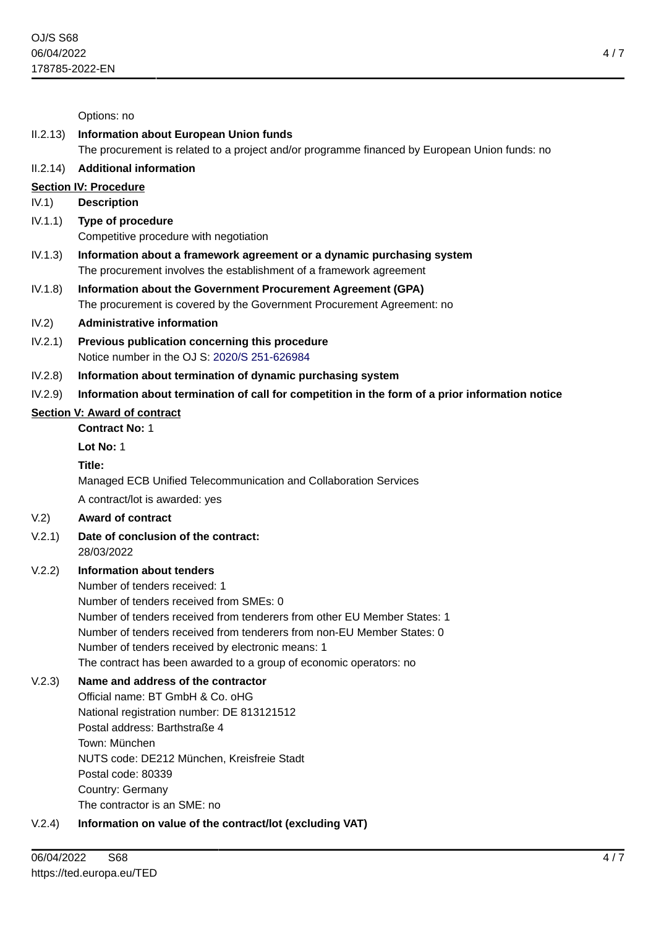Options: no

#### II.2.13) **Information about European Union funds** The procurement is related to a project and/or programme financed by European Union funds: no

# II.2.14) **Additional information**

# **Section IV: Procedure**

# IV.1) **Description**

- IV.1.1) **Type of procedure** Competitive procedure with negotiation
- IV.1.3) **Information about a framework agreement or a dynamic purchasing system** The procurement involves the establishment of a framework agreement
- IV.1.8) **Information about the Government Procurement Agreement (GPA)** The procurement is covered by the Government Procurement Agreement: no

# IV.2) **Administrative information**

- IV.2.1) **Previous publication concerning this procedure** Notice number in the OJ S: [2020/S 251-626984](https://ted.europa.eu/udl?uri=TED:NOTICE:626984-2020:TEXT:EN:HTML)
- IV.2.8) **Information about termination of dynamic purchasing system**

# IV.2.9) **Information about termination of call for competition in the form of a prior information notice**

# **Section V: Award of contract**

**Contract No:** 1

# **Lot No:** 1

# **Title:**

Managed ECB Unified Telecommunication and Collaboration Services

A contract/lot is awarded: yes

# V.2) **Award of contract**

- V.2.1) **Date of conclusion of the contract:** 28/03/2022
- V.2.2) **Information about tenders**

Number of tenders received: 1

Number of tenders received from SMEs: 0

Number of tenders received from tenderers from other EU Member States: 1 Number of tenders received from tenderers from non-EU Member States: 0 Number of tenders received by electronic means: 1

The contract has been awarded to a group of economic operators: no

# V.2.3) **Name and address of the contractor**

Official name: BT GmbH & Co. oHG National registration number: DE 813121512 Postal address: Barthstraße 4 Town: München NUTS code: DE212 München, Kreisfreie Stadt Postal code: 80339 Country: Germany The contractor is an SME: no

# V.2.4) **Information on value of the contract/lot (excluding VAT)**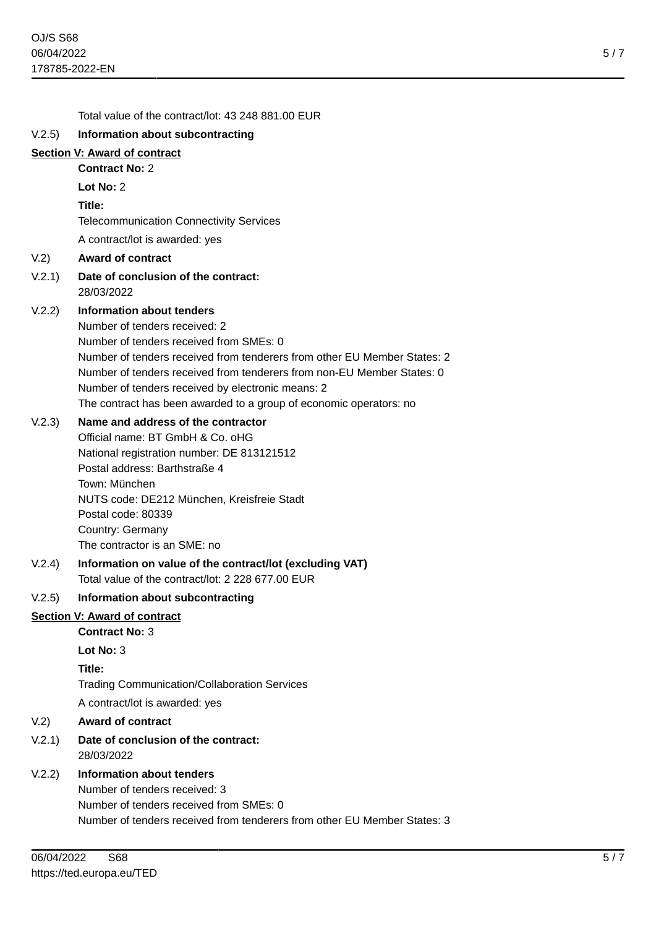|        | Total value of the contract/lot: 43 248 881.00 EUR                                                                                                 |
|--------|----------------------------------------------------------------------------------------------------------------------------------------------------|
| V.2.5) | Information about subcontracting                                                                                                                   |
|        | <b>Section V: Award of contract</b>                                                                                                                |
|        | <b>Contract No: 2</b>                                                                                                                              |
|        | Lot No: 2                                                                                                                                          |
|        | Title:                                                                                                                                             |
|        | <b>Telecommunication Connectivity Services</b>                                                                                                     |
|        | A contract/lot is awarded: yes                                                                                                                     |
| V.2)   | <b>Award of contract</b>                                                                                                                           |
| V.2.1) | Date of conclusion of the contract:<br>28/03/2022                                                                                                  |
| V.2.2) | <b>Information about tenders</b>                                                                                                                   |
|        | Number of tenders received: 2                                                                                                                      |
|        | Number of tenders received from SMEs: 0                                                                                                            |
|        | Number of tenders received from tenderers from other EU Member States: 2<br>Number of tenders received from tenderers from non-EU Member States: 0 |
|        | Number of tenders received by electronic means: 2                                                                                                  |
|        | The contract has been awarded to a group of economic operators: no                                                                                 |
| V.2.3) | Name and address of the contractor                                                                                                                 |
|        | Official name: BT GmbH & Co. oHG                                                                                                                   |
|        | National registration number: DE 813121512                                                                                                         |
|        | Postal address: Barthstraße 4<br>Town: München                                                                                                     |
|        | NUTS code: DE212 München, Kreisfreie Stadt                                                                                                         |
|        | Postal code: 80339                                                                                                                                 |
|        | Country: Germany                                                                                                                                   |
|        | The contractor is an SME: no                                                                                                                       |
| V.2.4) | Information on value of the contract/lot (excluding VAT)                                                                                           |
|        | Total value of the contract/lot: 2 228 677.00 EUR                                                                                                  |
| V.2.5) | Information about subcontracting                                                                                                                   |
|        | <b>Section V: Award of contract</b>                                                                                                                |
|        | <b>Contract No: 3</b>                                                                                                                              |
|        | Lot No: 3                                                                                                                                          |
|        | Title:<br><b>Trading Communication/Collaboration Services</b>                                                                                      |
|        | A contract/lot is awarded: yes                                                                                                                     |
|        | <b>Award of contract</b>                                                                                                                           |
| V.2)   |                                                                                                                                                    |
| V.2.1) | Date of conclusion of the contract:<br>28/03/2022                                                                                                  |
| V.2.2) | <b>Information about tenders</b>                                                                                                                   |
|        | Number of tenders received: 3                                                                                                                      |
|        | Number of tenders received from SMEs: 0<br>Number of tenders received from tenderers from other EU Member States: 3                                |
|        |                                                                                                                                                    |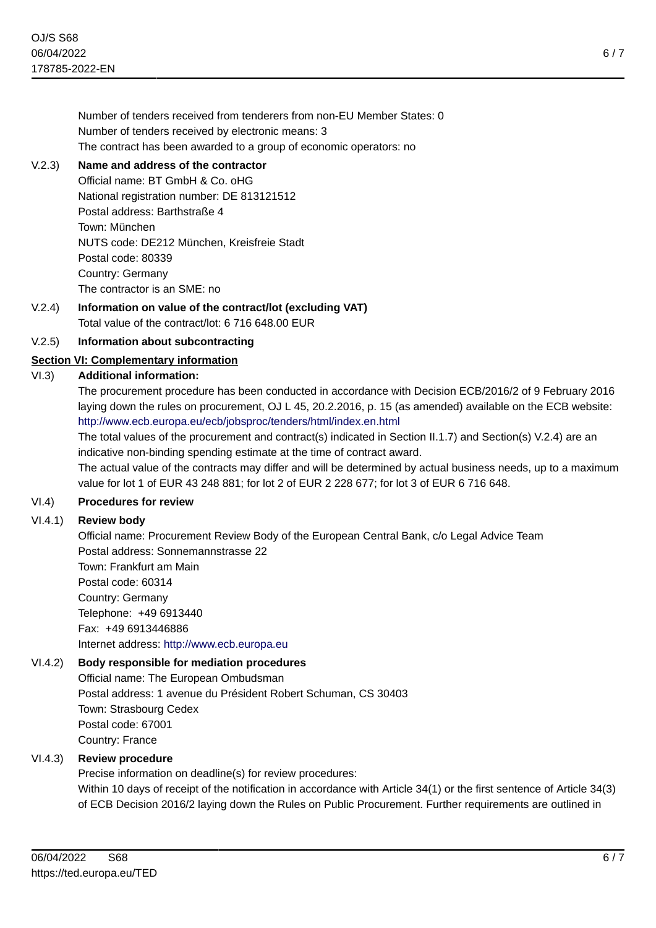Number of tenders received from tenderers from non-EU Member States: 0 Number of tenders received by electronic means: 3 The contract has been awarded to a group of economic operators: no

# V.2.3) **Name and address of the contractor**

Official name: BT GmbH & Co. oHG National registration number: DE 813121512 Postal address: Barthstraße 4 Town: München NUTS code: DE212 München, Kreisfreie Stadt Postal code: 80339 Country: Germany The contractor is an SME: no

#### V.2.4) **Information on value of the contract/lot (excluding VAT)** Total value of the contract/lot: 6 716 648.00 EUR

# V.2.5) **Information about subcontracting**

# **Section VI: Complementary information**

# VI.3) **Additional information:**

The procurement procedure has been conducted in accordance with Decision ECB/2016/2 of 9 February 2016 laying down the rules on procurement, OJ L 45, 20.2.2016, p. 15 (as amended) available on the ECB website: <http://www.ecb.europa.eu/ecb/jobsproc/tenders/html/index.en.html>

The total values of the procurement and contract(s) indicated in Section II.1.7) and Section(s) V.2.4) are an indicative non-binding spending estimate at the time of contract award.

The actual value of the contracts may differ and will be determined by actual business needs, up to a maximum value for lot 1 of EUR 43 248 881; for lot 2 of EUR 2 228 677; for lot 3 of EUR 6 716 648.

# VI.4) **Procedures for review**

# VI.4.1) **Review body**

Official name: Procurement Review Body of the European Central Bank, c/o Legal Advice Team Postal address: Sonnemannstrasse 22

Town: Frankfurt am Main Postal code: 60314 Country: Germany Telephone: +49 6913440 Fax: +49 6913446886 Internet address: <http://www.ecb.europa.eu>

# VI.4.2) **Body responsible for mediation procedures**

Official name: The European Ombudsman Postal address: 1 avenue du Président Robert Schuman, CS 30403 Town: Strasbourg Cedex Postal code: 67001 Country: France

# VI.4.3) **Review procedure**

Precise information on deadline(s) for review procedures: Within 10 days of receipt of the notification in accordance with Article 34(1) or the first sentence of Article 34(3)

of ECB Decision 2016/2 laying down the Rules on Public Procurement. Further requirements are outlined in